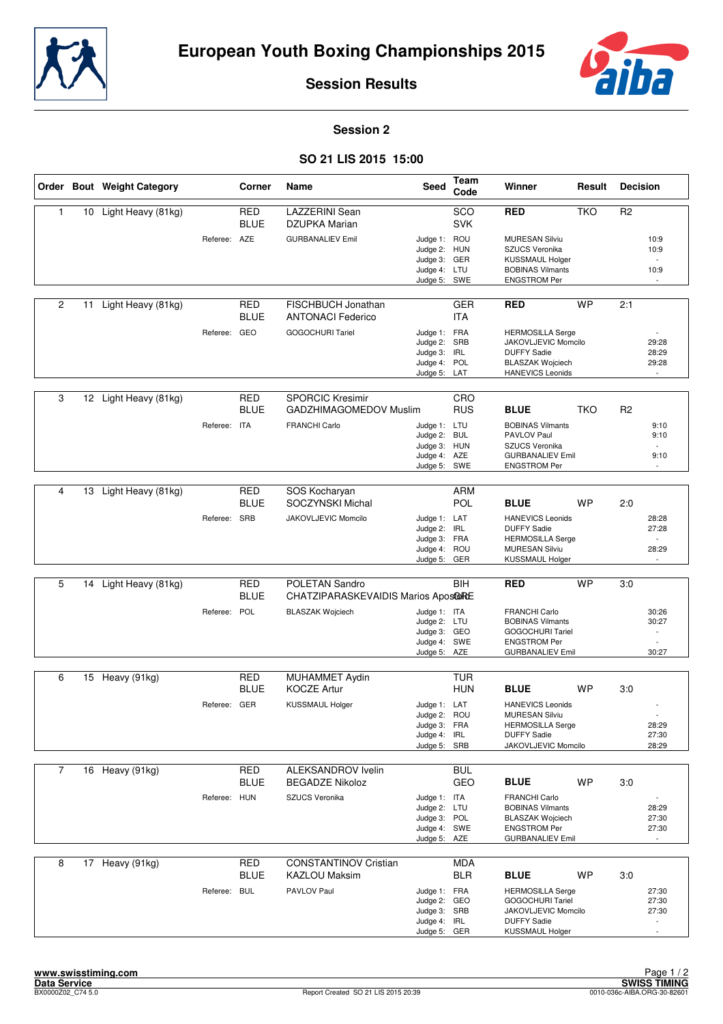



**Session Results**

## **Session 2**

## **SO 21 LIS 2015 15:00**

|                |    | Order Bout Weight Category |              | Corner                    | Name                                              | <b>Seed</b>                                                                  | Team<br>Code             | Winner                                                                                                                     | Result     | <b>Decision</b>                   |  |
|----------------|----|----------------------------|--------------|---------------------------|---------------------------------------------------|------------------------------------------------------------------------------|--------------------------|----------------------------------------------------------------------------------------------------------------------------|------------|-----------------------------------|--|
| 1              | 10 | Light Heavy (81kg)         |              | <b>RED</b><br><b>BLUE</b> | <b>LAZZERINI</b> Sean<br>DZUPKA Marian            |                                                                              | SCO<br><b>SVK</b>        | <b>RED</b>                                                                                                                 | <b>TKO</b> | R <sub>2</sub>                    |  |
|                |    |                            | Referee: AZE |                           | <b>GURBANALIEV Emil</b>                           | Judge 1: ROU<br>Judge 2: HUN<br>Judge 3: GER<br>Judge 4: LTU<br>Judge 5: SWE |                          | <b>MURESAN Silviu</b><br>SZUCS Veronika<br><b>KUSSMAUL Holger</b><br><b>BOBINAS Vilmants</b><br><b>ENGSTROM Per</b>        |            | 10:9<br>10:9<br>10:9              |  |
| $\overline{2}$ | 11 | Light Heavy (81kg)         |              | <b>RED</b><br><b>BLUE</b> | FISCHBUCH Jonathan<br><b>ANTONACI Federico</b>    |                                                                              | <b>GER</b><br><b>ITA</b> | <b>RED</b>                                                                                                                 | <b>WP</b>  | 2:1                               |  |
|                |    |                            | Referee: GEO |                           | <b>GOGOCHURI Tariel</b>                           | Judge 1: FRA<br>Judge 2: SRB<br>Judge 3: IRL<br>Judge 4: POL<br>Judge 5: LAT |                          | <b>HERMOSILLA Serge</b><br>JAKOVLJEVIC Momcilo<br><b>DUFFY Sadie</b><br><b>BLASZAK Wojciech</b><br><b>HANEVICS Leonids</b> |            | 29:28<br>28:29<br>29:28<br>÷.     |  |
|                |    |                            |              |                           |                                                   |                                                                              |                          |                                                                                                                            |            |                                   |  |
| 3              | 12 | Light Heavy (81kg)         |              | <b>RED</b><br><b>BLUE</b> | <b>SPORCIC Kresimir</b><br>GADZHIMAGOMEDOV Muslim |                                                                              | CRO<br><b>RUS</b>        | <b>BLUE</b>                                                                                                                | TKO        | R <sub>2</sub>                    |  |
|                |    |                            | Referee: ITA |                           | <b>FRANCHI Carlo</b>                              | Judge 1: LTU<br>Judge 2: BUL<br>Judge 3: HUN<br>Judge 4: AZE                 |                          | <b>BOBINAS Vilmants</b><br>PAVLOV Paul<br>SZUCS Veronika<br><b>GURBANALIEV Emil</b>                                        |            | 9:10<br>9:10<br>$\sim$<br>9:10    |  |
|                |    |                            |              |                           |                                                   | Judge 5: SWE                                                                 |                          | <b>ENGSTROM Per</b>                                                                                                        |            |                                   |  |
| 4              | 13 | Light Heavy (81kg)         |              | <b>RED</b>                | SOS Kocharyan                                     |                                                                              | <b>ARM</b>               |                                                                                                                            |            |                                   |  |
|                |    |                            |              | <b>BLUE</b>               | <b>SOCZYNSKI Michal</b>                           |                                                                              | <b>POL</b>               | <b>BLUE</b>                                                                                                                | <b>WP</b>  | 2:0                               |  |
|                |    |                            | Referee: SRB |                           | JAKOVLJEVIC Momcilo                               | Judge 1: LAT<br>Judge 2: IRL                                                 |                          | <b>HANEVICS Leonids</b><br><b>DUFFY Sadie</b>                                                                              |            | 28:28<br>27:28                    |  |
|                |    |                            |              |                           |                                                   | Judge 3: FRA<br>Judge 4: ROU                                                 |                          | <b>HERMOSILLA Serge</b><br><b>MURESAN Silviu</b>                                                                           |            | 28:29                             |  |
|                |    |                            |              |                           |                                                   | Judge 5: GER                                                                 |                          | KUSSMAUL Holger                                                                                                            |            |                                   |  |
| 5              | 14 | Light Heavy (81kg)         |              | <b>RED</b>                | POLETAN Sandro                                    |                                                                              | BIH                      | <b>RED</b>                                                                                                                 | <b>WP</b>  | 3:0                               |  |
|                |    |                            |              | <b>BLUE</b>               | CHATZIPARASKEVAIDIS Marios AposCoRE               |                                                                              |                          |                                                                                                                            |            |                                   |  |
|                |    |                            | Referee: POL |                           | <b>BLASZAK Wojciech</b>                           | Judge 1: ITA<br>Judge 2: LTU                                                 |                          | <b>FRANCHI Carlo</b><br><b>BOBINAS Vilmants</b>                                                                            |            | 30:26<br>30:27                    |  |
|                |    |                            |              |                           |                                                   | Judge 3: GEO<br>Judge 4: SWE                                                 |                          | GOGOCHURI Tariel<br><b>ENGSTROM Per</b>                                                                                    |            |                                   |  |
|                |    |                            |              |                           |                                                   | Judge 5: AZE                                                                 |                          | <b>GURBANALIEV Emil</b>                                                                                                    |            | 30:27                             |  |
| 6              |    | 15 Heavy (91kg)            |              | <b>RED</b>                | MUHAMMET Aydin                                    |                                                                              | <b>TUR</b>               |                                                                                                                            |            |                                   |  |
|                |    |                            |              | <b>BLUE</b>               | <b>KOCZE Artur</b>                                |                                                                              | <b>HUN</b>               | <b>BLUE</b>                                                                                                                | <b>WP</b>  | 3:0                               |  |
|                |    |                            | Referee: GER |                           | <b>KUSSMAUL Holger</b>                            | Judge 1: LAT                                                                 |                          | <b>HANEVICS Leonids</b>                                                                                                    |            |                                   |  |
|                |    |                            |              |                           |                                                   | Judge 2: ROU<br>Judge 3: FRA                                                 |                          | <b>MURESAN Silviu</b><br><b>HERMOSILLA Serge</b>                                                                           |            | 28:29                             |  |
|                |    |                            |              |                           |                                                   | Judge 4: IRL<br>Judge 5: SRB                                                 |                          | <b>DUFFY Sadie</b><br>JAKOVLJEVIC Momcilo                                                                                  |            | 27:30<br>28:29                    |  |
|                |    |                            |              |                           |                                                   |                                                                              |                          |                                                                                                                            |            |                                   |  |
| $\overline{7}$ |    | 16 Heavy (91kg)            |              | RED<br><b>BLUE</b>        | ALEKSANDROV Ivelin<br><b>BEGADZE Nikoloz</b>      |                                                                              | <b>BUL</b><br>GEO        | <b>BLUE</b>                                                                                                                | WP         | 3:0                               |  |
|                |    |                            | Referee: HUN |                           | SZUCS Veronika                                    | Judge 1: ITA<br>Judge 2: LTU                                                 |                          | <b>FRANCHI Carlo</b><br><b>BOBINAS Vilmants</b>                                                                            |            | $\overline{\phantom{a}}$<br>28:29 |  |
|                |    |                            |              |                           |                                                   | Judge 3: POL                                                                 |                          | <b>BLASZAK Wojciech</b>                                                                                                    |            | 27:30                             |  |
|                |    |                            |              |                           |                                                   | Judge 4: SWE<br>Judge 5: AZE                                                 |                          | <b>ENGSTROM Per</b><br><b>GURBANALIEV Emil</b>                                                                             |            | 27:30<br>$\sim$                   |  |
| 8              |    | 17 Heavy (91kg)            |              | <b>RED</b>                | <b>CONSTANTINOV Cristian</b>                      |                                                                              | <b>MDA</b>               |                                                                                                                            |            |                                   |  |
|                |    |                            |              | <b>BLUE</b>               | <b>KAZLOU Maksim</b>                              |                                                                              | <b>BLR</b>               | <b>BLUE</b>                                                                                                                | <b>WP</b>  | 3:0                               |  |
|                |    |                            | Referee: BUL |                           | PAVLOV Paul                                       | Judge 1: FRA<br>Judge 2: GEO                                                 |                          | <b>HERMOSILLA Serge</b><br><b>GOGOCHURI Tariel</b>                                                                         |            | 27:30<br>27:30                    |  |
|                |    |                            |              |                           |                                                   | Judge 3: SRB                                                                 |                          | JAKOVLJEVIC Momcilo<br><b>DUFFY Sadie</b>                                                                                  |            | 27:30                             |  |
|                |    |                            |              |                           |                                                   | Judge 4: IRL<br>Judge 5: GER                                                 |                          | <b>KUSSMAUL Holger</b>                                                                                                     |            |                                   |  |